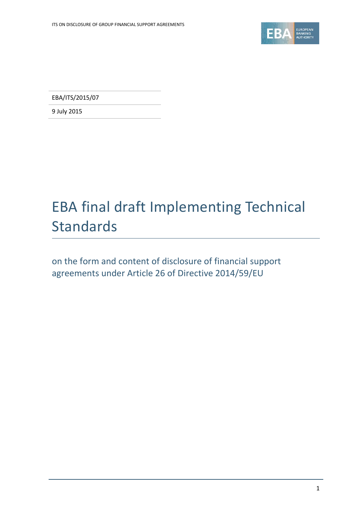

EBA/ITS/2015/07

9 July 2015

# EBA final draft Implementing Technical Standards

on the form and content of disclosure of financial support agreements under Article 26 of Directive 2014/59/EU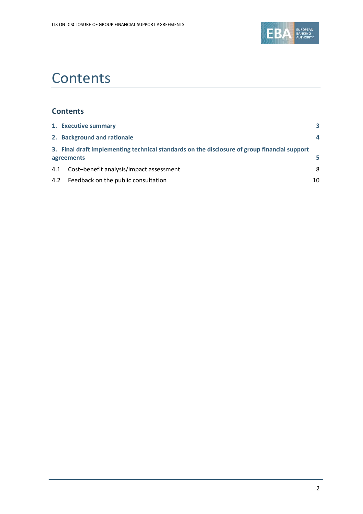

# **Contents**

### **Contents**

|     | 1. Executive summary                                                                                       | 3  |  |  |
|-----|------------------------------------------------------------------------------------------------------------|----|--|--|
|     | 2. Background and rationale                                                                                | 4  |  |  |
|     | 3. Final draft implementing technical standards on the disclosure of group financial support<br>agreements |    |  |  |
| 4.1 | Cost-benefit analysis/impact assessment                                                                    | 8  |  |  |
|     | 4.2 Feedback on the public consultation                                                                    | 10 |  |  |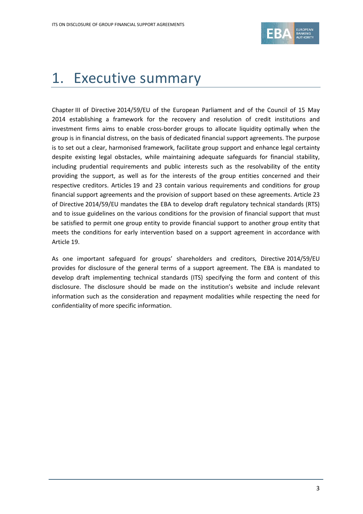

# <span id="page-2-0"></span>1. Executive summary

Chapter III of Directive 2014/59/EU of the European Parliament and of the Council of 15 May 2014 establishing a framework for the recovery and resolution of credit institutions and investment firms aims to enable cross-border groups to allocate liquidity optimally when the group is in financial distress, on the basis of dedicated financial support agreements. The purpose is to set out a clear, harmonised framework, facilitate group support and enhance legal certainty despite existing legal obstacles, while maintaining adequate safeguards for financial stability, including prudential requirements and public interests such as the resolvability of the entity providing the support, as well as for the interests of the group entities concerned and their respective creditors. Articles 19 and 23 contain various requirements and conditions for group financial support agreements and the provision of support based on these agreements. Article 23 of Directive 2014/59/EU mandates the EBA to develop draft regulatory technical standards (RTS) and to issue guidelines on the various conditions for the provision of financial support that must be satisfied to permit one group entity to provide financial support to another group entity that meets the conditions for early intervention based on a support agreement in accordance with Article 19.

As one important safeguard for groups' shareholders and creditors, Directive 2014/59/EU provides for disclosure of the general terms of a support agreement. The EBA is mandated to develop draft implementing technical standards (ITS) specifying the form and content of this disclosure. The disclosure should be made on the institution's website and include relevant information such as the consideration and repayment modalities while respecting the need for confidentiality of more specific information.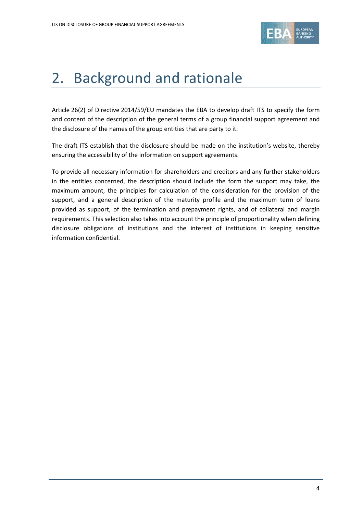

## <span id="page-3-0"></span>2. Background and rationale

Article 26(2) of Directive 2014/59/EU mandates the EBA to develop draft ITS to specify the form and content of the description of the general terms of a group financial support agreement and the disclosure of the names of the group entities that are party to it.

The draft ITS establish that the disclosure should be made on the institution's website, thereby ensuring the accessibility of the information on support agreements.

To provide all necessary information for shareholders and creditors and any further stakeholders in the entities concerned, the description should include the form the support may take, the maximum amount, the principles for calculation of the consideration for the provision of the support, and a general description of the maturity profile and the maximum term of loans provided as support, of the termination and prepayment rights, and of collateral and margin requirements. This selection also takes into account the principle of proportionality when defining disclosure obligations of institutions and the interest of institutions in keeping sensitive information confidential.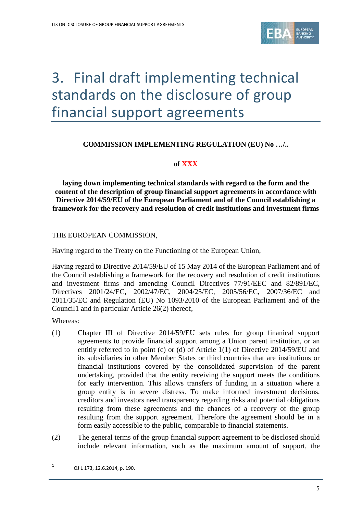

# <span id="page-4-0"></span>3. Final draft implementing technical standards on the disclosure of group financial support agreements

### **COMMISSION IMPLEMENTING REGULATION (EU) No …/..**

#### **of XXX**

**laying down implementing technical standards with regard to the form and the content of the description of group financial support agreements in accordance with Directive 2014/59/EU of the European Parliament and of the Council establishing a framework for the recovery and resolution of credit institutions and investment firms**

#### THE EUROPEAN COMMISSION,

Having regard to the Treaty on the Functioning of the European Union,

Having regard to Directive 2014/59/EU of 15 May 2014 of the European Parliament and of the Council establishing a framework for the recovery and resolution of credit institutions and investment firms and amending Council Directives 77/91/EEC and 82/891/EC, Directives 2001/24/EC, 2002/47/EC, 2004/25/EC, 2005/56/EC, 2007/36/EC and 2011/35/EC and Regulation (EU) No 1093/2010 of the European Parliament and of the Council[1](#page-4-1) and in particular Article 26(2) thereof,

Whereas:

 $\overline{a}$ 

- (1) Chapter III of Directive 2014/59/EU sets rules for group finanical support agreements to provide financial support among a Union parent institution, or an entitiy referred to in point (c) or (d) of Article 1(1) of Directive 2014/59/EU and its subsidiaries in other Member States or third countries that are institutions or financial institutions covered by the consolidated supervision of the parent undertaking, provided that the entity receiving the support meets the conditions for early intervention. This allows transfers of funding in a situation where a group entity is in severe distress. To make informed investment decisions, creditors and investors need transparency regarding risks and potential obligations resulting from these agreements and the chances of a recovery of the group resulting from the support agreement. Therefore the agreement should be in a form easily accessible to the public, comparable to financial statements.
- (2) The general terms of the group financial support agreement to be disclosed should include relevant information, such as the maximum amount of support, the

<span id="page-4-1"></span><sup>1</sup> OJ L 173, 12.6.2014, p. 190.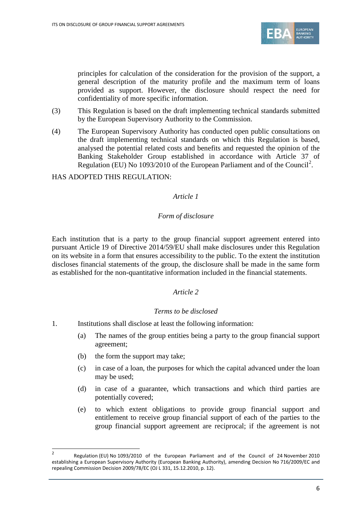

principles for calculation of the consideration for the provision of the support, a general description of the maturity profile and the maximum term of loans provided as support. However, the disclosure should respect the need for confidentiality of more specific information.

- (3) This Regulation is based on the draft implementing technical standards submitted by the European Supervisory Authority to the Commission.
- (4) The European Supervisory Authority has conducted open public consultations on the draft implementing technical standards on which this Regulation is based, analysed the potential related costs and benefits and requested the opinion of the Banking Stakeholder Group established in accordance with Article 37 of Regulation (EU) No 1093/[2](#page-5-0)010 of the European Parliament and of the Council<sup>2</sup>.

#### HAS ADOPTED THIS REGULATION:

#### *Article 1*

#### *Form of disclosure*

Each institution that is a party to the group financial support agreement entered into pursuant Article 19 of Directive 2014/59/EU shall make disclosures under this Regulation on its website in a form that ensures accessibility to the public. To the extent the institution discloses financial statements of the group, the disclosure shall be made in the same form as established for the non-quantitative information included in the financial statements.

#### *Article 2*

#### *Terms to be disclosed*

- 1. Institutions shall disclose at least the following information:
	- (a) The names of the group entities being a party to the group financial support agreement;
	- (b) the form the support may take;

 $\overline{a}$ 

- (c) in case of a loan, the purposes for which the capital advanced under the loan may be used;
- (d) in case of a guarantee, which transactions and which third parties are potentially covered;
- (e) to which extent obligations to provide group financial support and entitlement to receive group financial support of each of the parties to the group financial support agreement are reciprocal; if the agreement is not

<span id="page-5-0"></span><sup>2</sup> Regulation (EU) No 1093/2010 of the European Parliament and of the Council of 24 November 2010 establishing a European Supervisory Authority (European Banking Authority), amending Decision No 716/2009/EC and repealing Commission Decision 2009/78/EC (OJ L 331, 15.12.2010, p. 12).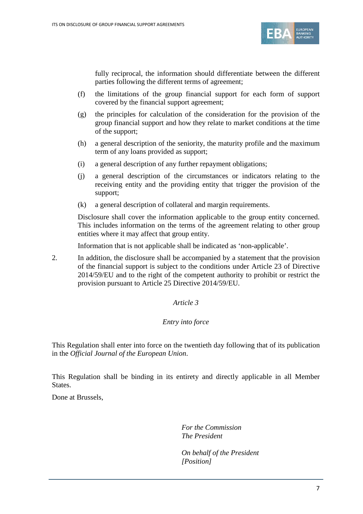

fully reciprocal, the information should differentiate between the different parties following the different terms of agreement;

- (f) the limitations of the group financial support for each form of support covered by the financial support agreement;
- (g) the principles for calculation of the consideration for the provision of the group financial support and how they relate to market conditions at the time of the support;
- (h) a general description of the seniority, the maturity profile and the maximum term of any loans provided as support;
- (i) a general description of any further repayment obligations;
- (j) a general description of the circumstances or indicators relating to the receiving entity and the providing entity that trigger the provision of the support;
- (k) a general description of collateral and margin requirements.

Disclosure shall cover the information applicable to the group entity concerned. This includes information on the terms of the agreement relating to other group entities where it may affect that group entity.

Information that is not applicable shall be indicated as 'non-applicable'.

2. In addition, the disclosure shall be accompanied by a statement that the provision of the financial support is subject to the conditions under Article 23 of Directive 2014/59/EU and to the right of the competent authority to prohibit or restrict the provision pursuant to Article 25 Directive 2014/59/EU.

#### *Article 3*

#### *Entry into force*

This Regulation shall enter into force on the twentieth day following that of its publication in the *Official Journal of the European Union*.

This Regulation shall be binding in its entirety and directly applicable in all Member States.

Done at Brussels,

*For the Commission The President*

*On behalf of the President [Position]*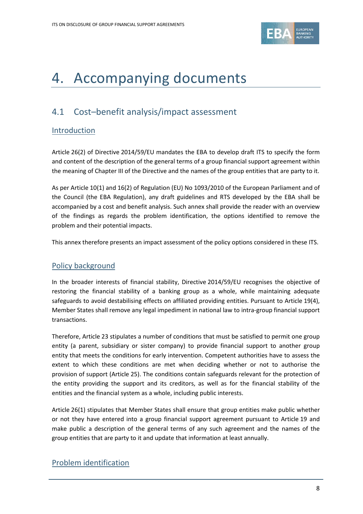

## 4. Accompanying documents

## <span id="page-7-0"></span>4.1 Cost–benefit analysis/impact assessment

### Introduction

Article 26(2) of Directive 2014/59/EU mandates the EBA to develop draft ITS to specify the form and content of the description of the general terms of a group financial support agreement within the meaning of Chapter III of the Directive and the names of the group entities that are party to it.

As per Article 10(1) and 16(2) of Regulation (EU) No 1093/2010 of the European Parliament and of the Council (the EBA Regulation), any draft guidelines and RTS developed by the EBA shall be accompanied by a cost and benefit analysis. Such annex shall provide the reader with an overview of the findings as regards the problem identification, the options identified to remove the problem and their potential impacts.

This annex therefore presents an impact assessment of the policy options considered in these ITS.

### Policy background

In the broader interests of financial stability, Directive 2014/59/EU recognises the objective of restoring the financial stability of a banking group as a whole, while maintaining adequate safeguards to avoid destabilising effects on affiliated providing entities. Pursuant to Article 19(4), Member States shall remove any legal impediment in national law to intra-group financial support transactions.

Therefore, Article 23 stipulates a number of conditions that must be satisfied to permit one group entity (a parent, subsidiary or sister company) to provide financial support to another group entity that meets the conditions for early intervention. Competent authorities have to assess the extent to which these conditions are met when deciding whether or not to authorise the provision of support (Article 25). The conditions contain safeguards relevant for the protection of the entity providing the support and its creditors, as well as for the financial stability of the entities and the financial system as a whole, including public interests.

Article 26(1) stipulates that Member States shall ensure that group entities make public whether or not they have entered into a group financial support agreement pursuant to Article 19 and make public a description of the general terms of any such agreement and the names of the group entities that are party to it and update that information at least annually.

### Problem identification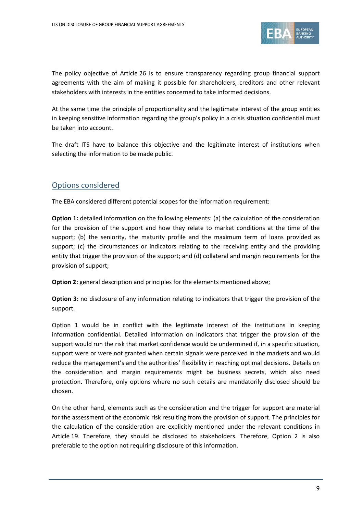

The policy objective of Article 26 is to ensure transparency regarding group financial support agreements with the aim of making it possible for shareholders, creditors and other relevant stakeholders with interests in the entities concerned to take informed decisions.

At the same time the principle of proportionality and the legitimate interest of the group entities in keeping sensitive information regarding the group's policy in a crisis situation confidential must be taken into account.

The draft ITS have to balance this objective and the legitimate interest of institutions when selecting the information to be made public.

### Options considered

The EBA considered different potential scopes for the information requirement:

**Option 1:** detailed information on the following elements: (a) the calculation of the consideration for the provision of the support and how they relate to market conditions at the time of the support; (b) the seniority, the maturity profile and the maximum term of loans provided as support; (c) the circumstances or indicators relating to the receiving entity and the providing entity that trigger the provision of the support; and (d) collateral and margin requirements for the provision of support;

**Option 2:** general description and principles for the elements mentioned above;

**Option 3:** no disclosure of any information relating to indicators that trigger the provision of the support.

Option 1 would be in conflict with the legitimate interest of the institutions in keeping information confidential. Detailed information on indicators that trigger the provision of the support would run the risk that market confidence would be undermined if, in a specific situation, support were or were not granted when certain signals were perceived in the markets and would reduce the management's and the authorities' flexibility in reaching optimal decisions. Details on the consideration and margin requirements might be business secrets, which also need protection. Therefore, only options where no such details are mandatorily disclosed should be chosen.

On the other hand, elements such as the consideration and the trigger for support are material for the assessment of the economic risk resulting from the provision of support. The principles for the calculation of the consideration are explicitly mentioned under the relevant conditions in Article 19. Therefore, they should be disclosed to stakeholders. Therefore, Option 2 is also preferable to the option not requiring disclosure of this information.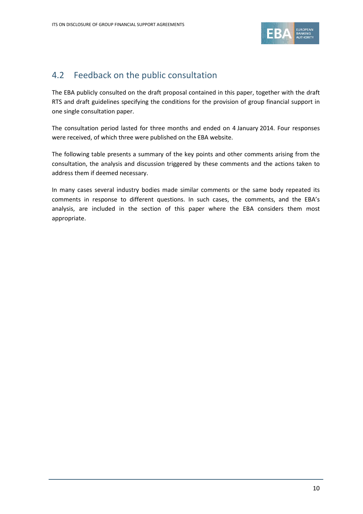

## <span id="page-9-0"></span>4.2 Feedback on the public consultation

The EBA publicly consulted on the draft proposal contained in this paper, together with the draft RTS and draft guidelines specifying the conditions for the provision of group financial support in one single consultation paper.

The consultation period lasted for three months and ended on 4 January 2014. Four responses were received, of which three were published on the EBA website.

The following table presents a summary of the key points and other comments arising from the consultation, the analysis and discussion triggered by these comments and the actions taken to address them if deemed necessary.

In many cases several industry bodies made similar comments or the same body repeated its comments in response to different questions. In such cases, the comments, and the EBA's analysis, are included in the section of this paper where the EBA considers them most appropriate.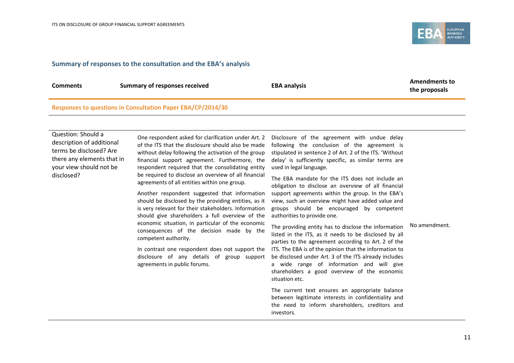

#### **Summary of responses to the consultation and the EBA's analysis**

| <b>Comments</b> |                               |                     | <b>Amendments to</b> |
|-----------------|-------------------------------|---------------------|----------------------|
|                 | Summary of responses received | <b>EBA analysis</b> | the proposals        |

#### **Responses to questions in Consultation Paper EBA/CP/2014/30**

Question: Should a description of additional terms be disclosed? Are there any elements that in your view should not be disclosed?

One respondent asked for clarification under Art. 2 of the ITS that the disclosure should also be made without delay following the activation of the group financial support agreement. Furthermore, the respondent required that the consolidating entity be required to disclose an overview of all financial agreements of all entities within one group.

Another respondent suggested that information should be disclosed by the providing entities, as it is very relevant for their stakeholders. Information should give shareholders a full overview of the economic situation, in particular of the economic consequences of the decision made by the competent authority.

In contrast one respondent does not support the disclosure of any details of group support agreements in public forums.

Disclosure of the agreement with undue delay following the conclusion of the agreement is stipulated in sentence 2 of Art. 2 of the ITS. 'Without delay' is sufficiently specific, as similar terms are used in legal language.

The EBA mandate for the ITS does not include an obligation to disclose an overview of all financial support agreements within the group. In the EBA's view, such an overview might have added value and groups should be encouraged by competent authorities to provide one.

The providing entity has to disclose the information listed in the ITS, as it needs to be disclosed by all parties to the agreement according to Art. 2 of the ITS. The EBA is of the opinion that the information to be disclosed under Art. 3 of the ITS already includes a wide range of information and will give

No amendment.

The current text ensures an appropriate balance between legitimate interests in confidentiality and the need to inform shareholders, creditors and investors.

shareholders a good overview of the economic

situation etc.